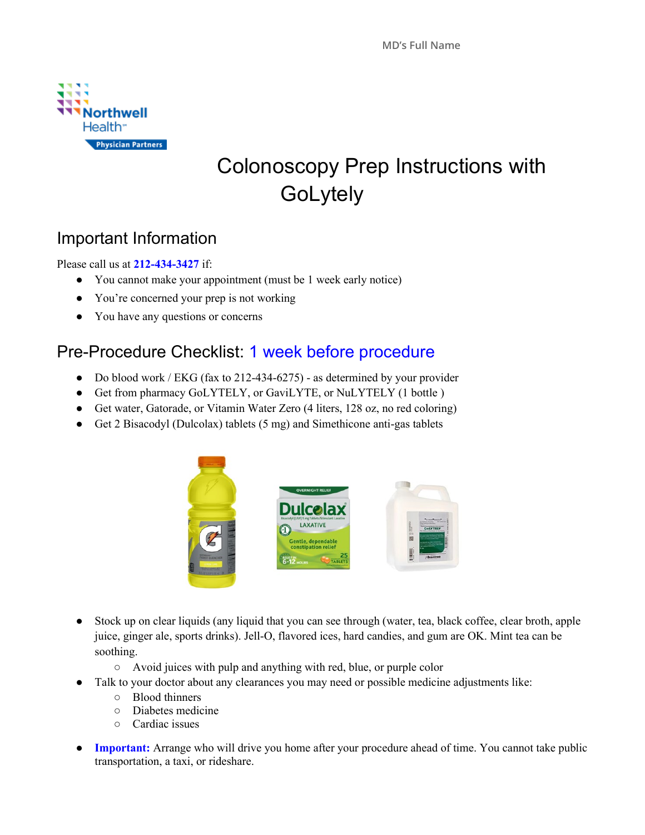

# Colonoscopy Prep Instructions with **GoLytely**

### Important Information

Please call us at **212-434-3427** if:

- You cannot make your appointment (must be 1 week early notice)
- You're concerned your prep is not working
- You have any questions or concerns

#### Pre-Procedure Checklist: 1 week before procedure

- Do blood work / EKG (fax to 212-434-6275) as determined by your provider
- Get from pharmacy GoLYTELY, or GaviLYTE, or NuLYTELY (1 bottle )
- Get water, Gatorade, or Vitamin Water Zero (4 liters, 128 oz, no red coloring)
- Get 2 Bisacodyl (Dulcolax) tablets (5 mg) and Simethicone anti-gas tablets



- Stock up on clear liquids (any liquid that you can see through (water, tea, black coffee, clear broth, apple juice, ginger ale, sports drinks). Jell-O, flavored ices, hard candies, and gum are OK. Mint tea can be soothing.
	- Avoid juices with pulp and anything with red, blue, or purple color
- Talk to your doctor about any clearances you may need or possible medicine adjustments like:
	- Blood thinners
	- Diabetes medicine
	- Cardiac issues
- **Important:** Arrange who will drive you home after your procedure ahead of time. You cannot take public transportation, a taxi, or rideshare.